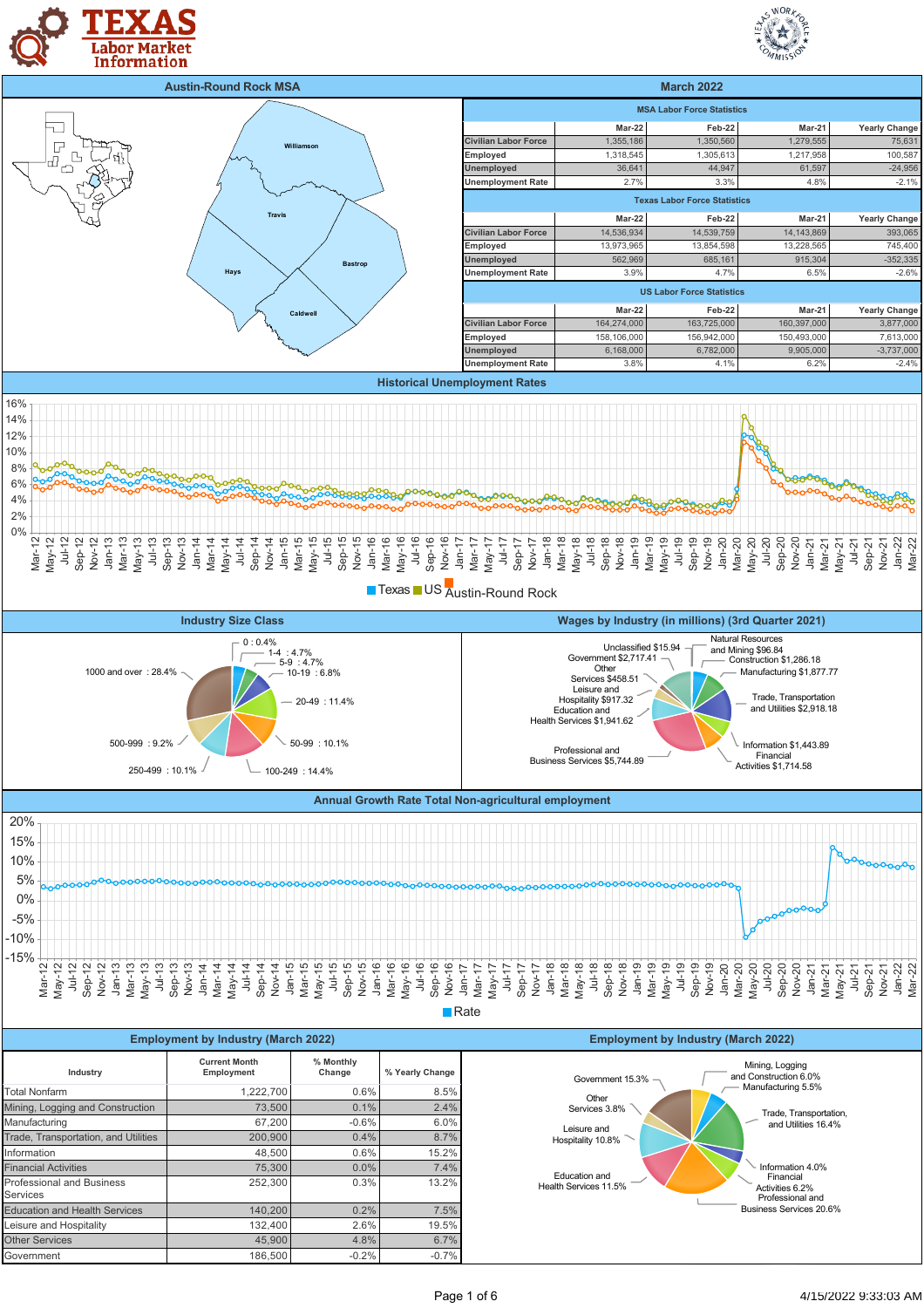





**Texas US** Austin-Round Rock





| <b>Employment by Industry (March 2022)</b>   |                                    |                     |                 |  |
|----------------------------------------------|------------------------------------|---------------------|-----------------|--|
| Industry                                     | <b>Current Month</b><br>Employment | % Monthly<br>Change | % Yearly Change |  |
| Total Nonfarm                                | 1,222,700                          | 0.6%                | 8.5%            |  |
| Mining, Logging and Construction             | 73,500                             | 0.1%                | 2.4%            |  |
| Manufacturing                                | 67,200                             | $-0.6%$             | 6.0%            |  |
| Trade, Transportation, and Utilities         | 200,900                            | 0.4%                | 8.7%            |  |
| Information                                  | 48.500                             | 0.6%                | 15.2%           |  |
| <b>Financial Activities</b>                  | 75.300                             | 0.0%                | 7.4%            |  |
| <b>Professional and Business</b><br>Services | 252,300                            | 0.3%                | 13.2%           |  |
| <b>Education and Health Services</b>         | 140,200                            | 0.2%                | 7.5%            |  |
| Leisure and Hospitality                      | 132,400                            | 2.6%                | 19.5%           |  |
| <b>Other Services</b>                        | 45.900                             | 4.8%                | 6.7%            |  |
| Government                                   | 186.500                            | $-0.2%$             | $-0.7%$         |  |

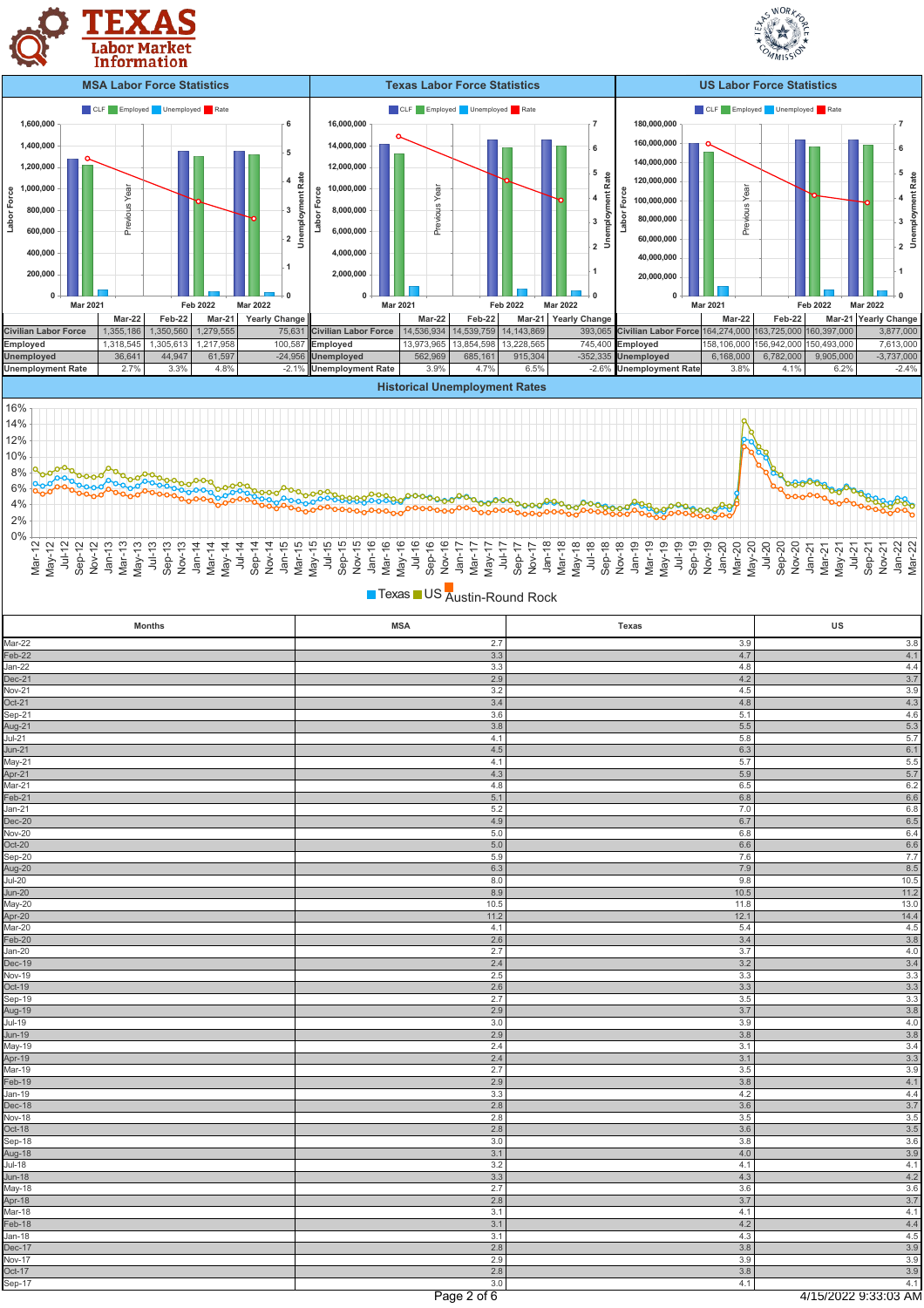





| Texas US Austin-Round Rock |                |            |             |
|----------------------------|----------------|------------|-------------|
| <b>Months</b>              | <b>MSA</b>     | Texas      | US          |
| Mar-22                     | 2.7            | 3.9        | $3.8\,$     |
| Feb-22                     | $3.3\,$        | 4.7        | 4.1         |
| $Jan-22$                   | 3.3            | 4.8        | 4.4         |
| Dec-21                     | 2.9            | 4.2        | 3.7         |
| $Nov-21$                   | 3.2            | 4.5        | 3.9         |
| Oct-21                     | 3.4            | 4.8        | 4.3         |
|                            | 3.6            | 5.1        | 4.6         |
| Sep-21<br>Aug-21<br>Jul-21 | $3.8\,$        | 5.5        | 5.3         |
|                            | 4.1            | 5.8        | 5.7         |
| $Jun-21$                   | 4.5            | 6.3        | 6.1         |
| May-21                     | 4.1            | 5.7        | 5.5         |
| Apr-21                     | 4.3            | 5.9        | 5.7         |
| Mar-21                     | 4.8            | 6.5        | 6.2         |
| Feb-21                     | 5.1            | 6.8        | 6.6         |
| Jan-21                     | 5.2            | 7.0        | 6.8         |
| Dec-20                     | 4.9            | 6.7        | 6.5         |
| <b>Nov-20</b>              | $5.0\,$        | 6.8        | 6.4         |
| Oct-20                     | $5.0\,$<br>5.9 | 6.6        | 6.6         |
| Sep-20                     | 6.3            | 7.6<br>7.9 | 7.7         |
| Aug-20<br>Jul-20           | 8.0            | 9.8        | 8.5<br>10.5 |
|                            | 8.9            | 10.5       | 11.2        |
| Jun-20<br>May-20           | 10.5           | 11.8       | 13.0        |
| Apr-20                     | 11.2           | 12.1       | 14.4        |
| Mar-20                     | 4.1            | 5.4        | 4.5         |
| Feb-20                     | 2.6            | 3.4        | 3.8         |
| $Jan-20$                   | 2.7            | 3.7        | 4.0         |
| Dec-19                     | 2.4            | 3.2        | 3.4         |
| <b>Nov-19</b>              | 2.5            | 3.3        | 3.3         |
| Oct-19                     | $2.6\,$        | 3.3        | 3.3         |
| Sep-19                     | 2.7            | $3.5\,$    | 3.3         |
| Aug-19<br>Jul-19           | 2.9            | 3.7        | 3.8         |
|                            | 3.0            | 3.9        | 4.0         |
| <b>Jun-19</b>              | 2.9            | 3.8        | 3.8         |
| May-19                     | 2.4            | 3.1        | 3.4         |
|                            | 2.4            | 3.1        | 3.3         |
| Apr-19<br>Mar-19           | 2.7            | 3.5        | 3.9         |
| Feb-19                     | 2.9            | 3.8        | 4.1         |
| Jan-19                     | 3.3            | $4.2\,$    | 4.4         |
| Dec-18                     | 2.8            | 3.6        | 3.7         |
| <b>Nov-18</b>              | 2.8            | 3.5        | 3.5         |
| Oct-18                     | 2.8            | 3.6        | 3.5         |
|                            | 3.0            | 3.8        | 3.6         |
|                            | 3.1            | 4.0        | 3.9         |
| Sep-18<br>Aug-18<br>Jul-18 | 3.2            | 4.1        | 4.1         |
| Jun-18<br>May-18           | 3.3            | 4.3        | 4.2         |
|                            | 2.7            | 3.6        | 3.6         |
| Apr-18<br>Mar-18           | 2.8            | 3.7        | 3.7         |
|                            | 3.1            | 4.1        | 4.1         |
| Feb-18                     | 3.1            | 4.2        | 4.4         |
| Jan-18                     | 3.1            | 4.3        | $4.5\,$     |
| Dec-17<br>Nov-17<br>Oct-17 | 2.8            | 3.8        | 3.9         |
|                            | 2.9            | 3.9        | 3.9         |
|                            | 2.8            | 3.8        | 3.9         |

SWORKS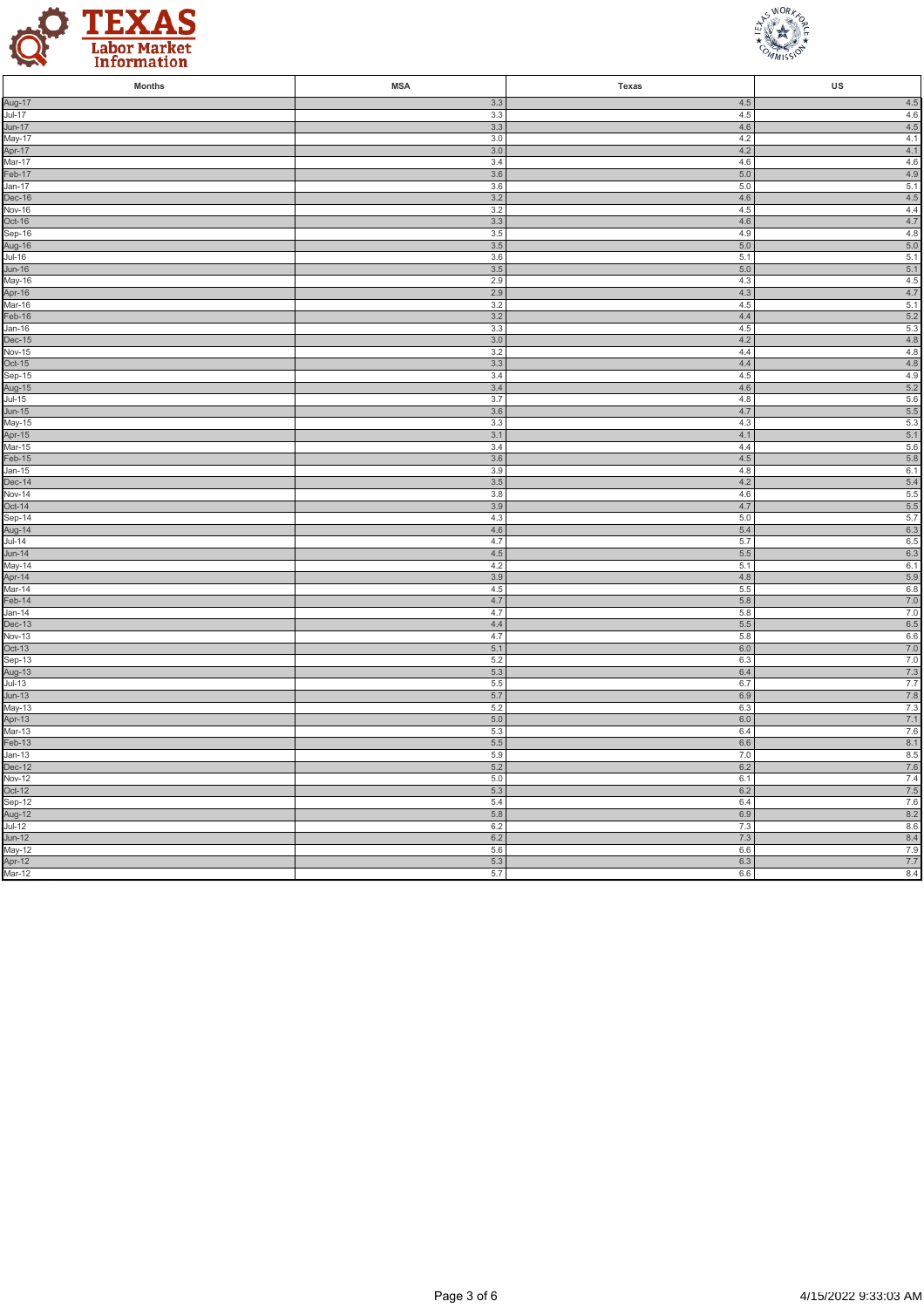



| <b>Months</b>                                                                          | <b>MSA</b>     | Texas          | US                |
|----------------------------------------------------------------------------------------|----------------|----------------|-------------------|
| Aug-17<br>Jul-17                                                                       | 3.3            | 4.5            | 4.5               |
|                                                                                        | 3.3            | 4.5            | $4.6\,$           |
| Jun-17<br>May-17                                                                       | 3.3<br>3.0     | 4.6<br>4.2     | 4.5<br>4.1        |
|                                                                                        | 3.0            | 4.2            | 4.1               |
| Apr-17<br>Mar-17                                                                       | 3.4            | 4.6            | 4.6               |
| Feb-17                                                                                 | 3.6            | $5.0$          | 4.9               |
| Jan-17<br>Dec-16<br>Nov-16                                                             | 3.6            | 5.0            | 5.1               |
|                                                                                        | 3.2            | 4.6            | $4.5\,$           |
|                                                                                        | 3.2            | 4.5            | 4.4               |
| Oct-16<br>Sep-16                                                                       | 3.3<br>3.5     | 4.6<br>4.9     | 4.7<br>4.8        |
|                                                                                        | 3.5            | 5.0            | 5.0               |
| Aug-16<br>Jul-16                                                                       | 3.6            | 5.1            | 5.1               |
|                                                                                        | 3.5            | 5.0            | 5.1               |
|                                                                                        | 2.9            | 4.3            | $4.5\,$           |
| <u>Jun-16</u><br>May-16<br>Apr-16<br>Mar-16                                            | 2.9            | 4.3            | 4.7               |
|                                                                                        | 3.2            | 4.5<br>4.4     | 5.1               |
| Feb-16<br>Jan-16                                                                       | 3.2<br>3.3     | 4.5            | $5.2\,$<br>5.3    |
| <b>Dec-15</b>                                                                          | $3.0\,$        | 4.2            | $4.8\,$           |
| <b>Nov-15</b>                                                                          | 3.2            | 4.4            | 4.8               |
|                                                                                        | $3.3\,$        | $4.4\,$        | 4.8               |
|                                                                                        | 3.4            | 4.5            | 4.9               |
|                                                                                        | 3.4            | 4.6            | 5.2               |
|                                                                                        | 3.7<br>3.6     | 4.8<br>4.7     | 5.6<br>$5.5$      |
|                                                                                        | 3.3            | 4.3            | $5.3\,$           |
|                                                                                        | 3.1            | 4.1            | 5.1               |
| Nov-15<br>Oct-15<br>Sep-15<br>Aug-15<br>Jul-15<br>Jun-15<br>May-15<br>Apr-15<br>Mar-15 | 3.4            | 4.4            | 5.6               |
| $Feb-15$                                                                               | 3.6            | $4.5\,$        | 5.8               |
|                                                                                        | 3.9            | 4.8            | 6.1               |
| Jan-15<br>Dec-14<br>Nov-14                                                             | $3.5\,$<br>3.8 | 4.2<br>4.6     | 5.4<br>5.5        |
|                                                                                        | 3.9            | 4.7            | $5.5\,$           |
|                                                                                        | 4.3            | 5.0            | 5.7               |
|                                                                                        | 4.6            | 5.4            | 6.3               |
|                                                                                        | 4.7            | 5.7            | $6.5\,$           |
|                                                                                        | 4.5            | 5.5            | 6.3               |
| Nov-14<br>Oct-14<br>Sep-14<br>Aug-14<br>Jul-14<br>Jun-14<br>Apr-14<br>Apr-14<br>Tob 14 | 4.2<br>3.9     | 5.1<br>4.8     | 6.1<br>5.9        |
|                                                                                        | 4.5            | 5.5            | 6.8               |
| Feb-14                                                                                 | 4.7            | 5.8            | $7.0\,$           |
| $Jan-14$                                                                               | 4.7            | 5.8            | 7.0               |
| Dec-13<br>Nov-13                                                                       | $4.4\,$        | $5.5\,$        | $6.5\,$           |
|                                                                                        | 4.7            | 5.8            | 6.6               |
| Oct-13<br>Sep-13                                                                       | 5.1<br>5.2     | $6.0\,$<br>6.3 | $7.0\,$<br>7.0    |
|                                                                                        | 5.3            | $6.4\,$        | $7.3$             |
| Sep-13<br>Aug-13<br>Jul-13<br>Jun-13<br>May-13<br>Apr-13<br>Mar-13                     | $5.5\,$        | 6.7            | 7.7               |
|                                                                                        | 5.7            | 6.9            | 7.8               |
|                                                                                        | 5.2            | 6.3            | 7.3               |
|                                                                                        | $5.0\,$        | $6.0\,$        | 7.1               |
| $Feb-13$                                                                               | 5.3            | 6.4            | $7.6\,$           |
| $Jan-13$                                                                               | 5.5<br>5.9     | 6.6<br>7.0     | 8.1<br>8.5        |
| Dec-12                                                                                 | $5.2\,$        | $6.2\,$        | $7.6\,$           |
| Nov-12                                                                                 | 5.0            | 6.1            | 7.4               |
| Oct-12<br>Sep-12                                                                       | $5.3\,$        | $6.2\,$        | $7.5\,$           |
|                                                                                        | 5.4            | 6.4            | 7.6               |
| Aug-12<br>Jul-12                                                                       | 5.8            | 6.9            | 8.2               |
|                                                                                        | $6.2\,$<br>6.2 | $7.3$<br>7.3   | 8.6<br>8.4        |
| Jun-12<br>May-12<br>Apr-12<br>Mar-12                                                   | 5.6            | 6.6            | 7.9               |
|                                                                                        | 5.3            | 6.3            |                   |
|                                                                                        | 5.7            | 6.6            | $\frac{7.7}{8.4}$ |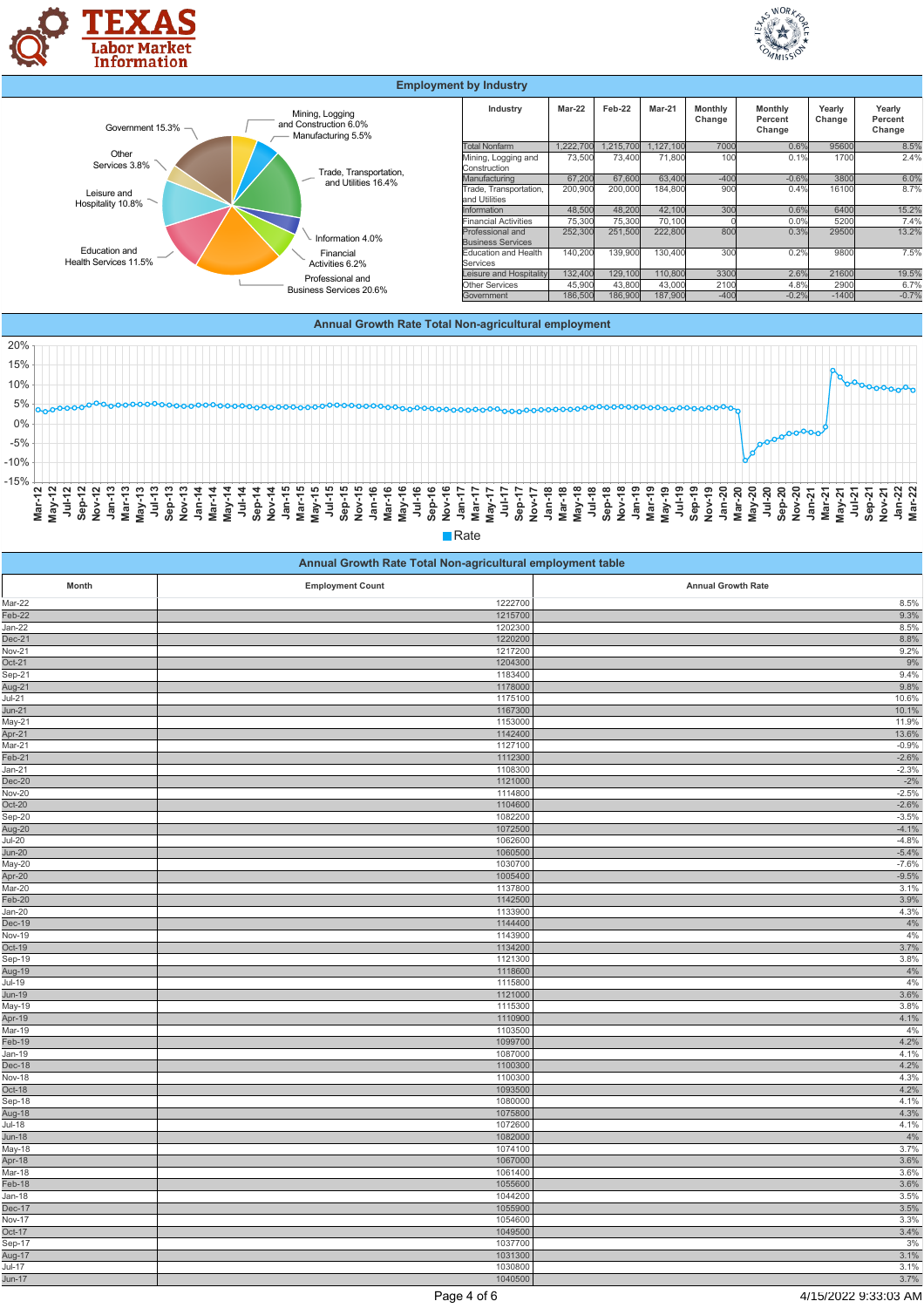

-5% 0% 5%







| Annual Growth Rate Total Non-agricultural employment table |                         |                           |  |
|------------------------------------------------------------|-------------------------|---------------------------|--|
| Month                                                      | <b>Employment Count</b> | <b>Annual Growth Rate</b> |  |
| Mar-22                                                     | 1222700                 | 8.5%                      |  |
| $Feb-22$                                                   | 1215700                 | 9.3%                      |  |
| Jan-22                                                     | 1202300                 | 8.5%                      |  |
| Dec-21                                                     | 1220200                 | 8.8%                      |  |
| <b>Nov-21</b>                                              | 1217200                 | 9.2%                      |  |
| $Oct-21$                                                   | 1204300                 | 9%                        |  |
| Sep-21                                                     | 1183400                 | 9.4%                      |  |
| -<br>Aug-21                                                | 1178000                 | 9.8%                      |  |
| $Jul-21$                                                   | 1175100                 | 10.6%                     |  |
| $Jun-21$                                                   | 1167300                 | 10.1%                     |  |
| May-21                                                     | 1153000                 | 11.9%                     |  |
| Apr-21<br>Mar-21                                           | 1142400                 | 13.6%                     |  |
|                                                            | 1127100                 | $-0.9%$                   |  |
| $Feb-21$                                                   | 1112300                 | $-2.6%$                   |  |
| Jan-21                                                     | 1108300                 | $-2.3%$                   |  |
| $Dec-20$                                                   | 1121000                 | $-2%$                     |  |
| <b>Nov-20</b>                                              | 1114800                 | $-2.5%$                   |  |
| $Oct-20$                                                   | 1104600                 | $-2.6%$                   |  |
| Sep-20                                                     | 1082200                 | $-3.5%$                   |  |
| Aug-20<br>Jul-20                                           | 1072500                 | $-4.1%$                   |  |
|                                                            | 1062600                 | $-4.8%$                   |  |
| Jun-20                                                     | 1060500                 | $-5.4%$                   |  |
| May-20                                                     | 1030700                 | $-7.6%$                   |  |
| Apr-20                                                     | 1005400                 | $-9.5%$                   |  |
| $Mar-20$                                                   | 1137800                 | 3.1%                      |  |
| $Feb-20$                                                   | 1142500                 | 3.9%                      |  |
| Jan-20                                                     | 1133900                 | 4.3%                      |  |
| Dec-19                                                     | 1144400                 | 4%                        |  |
| Nov-19<br>Oct-19                                           | 1143900                 | 4%                        |  |
|                                                            | 1134200                 | 3.7%                      |  |
| Sep-19                                                     | 1121300                 | 3.8%                      |  |
|                                                            | 1118600                 | 4%<br>4%                  |  |
|                                                            | 1115800                 |                           |  |
| Jun-19<br>May-19                                           | 1121000<br>1115300      | 3.6%<br>3.8%              |  |
| Apr-19                                                     | 1110900                 | 4.1%                      |  |
| <u>Mar-19</u>                                              | 1103500                 | 4%                        |  |
| Feb-19                                                     | 1099700                 | 4.2%                      |  |
| Jan-19                                                     | 1087000                 | 4.1%                      |  |
| Dec-18                                                     | 1100300                 | 4.2%                      |  |
|                                                            | 1100300                 | 4.3%                      |  |
| Nov-18<br>Oct-18                                           | 1093500                 | 4.2%                      |  |
| Sep-18                                                     | 1080000                 | 4.1%                      |  |
|                                                            | 1075800                 | 4.3%                      |  |
| Aug-18<br>Jul-18                                           | 1072600                 | 4.1%                      |  |
| Jun-18                                                     | 1082000                 | 4%                        |  |
|                                                            | 1074100                 | 3.7%                      |  |
| May-18<br>May-18<br>Apr-18                                 | 1067000                 | 3.6%                      |  |
|                                                            | 1061400                 | 3.6%                      |  |
| . .<br>Mar-18<br>Feb-18                                    | 1055600                 | 3.6%                      |  |
| Jan-18                                                     | 1044200                 | 3.5%                      |  |
| Dec-17                                                     | 1055900                 | 3.5%                      |  |
|                                                            | 1054600                 | 3.3%                      |  |
| Nov-17<br>Oct-17                                           | 1049500                 | 3.4%                      |  |
| Sep-17                                                     | 1037700                 | 3%                        |  |
|                                                            | 1031300                 | 3.1%                      |  |
| --<br>Aug-17<br>Jul-17                                     | 1030800                 | 3.1%                      |  |
| $Jun-17$                                                   | 1040500                 | 3.7%                      |  |
|                                                            |                         |                           |  |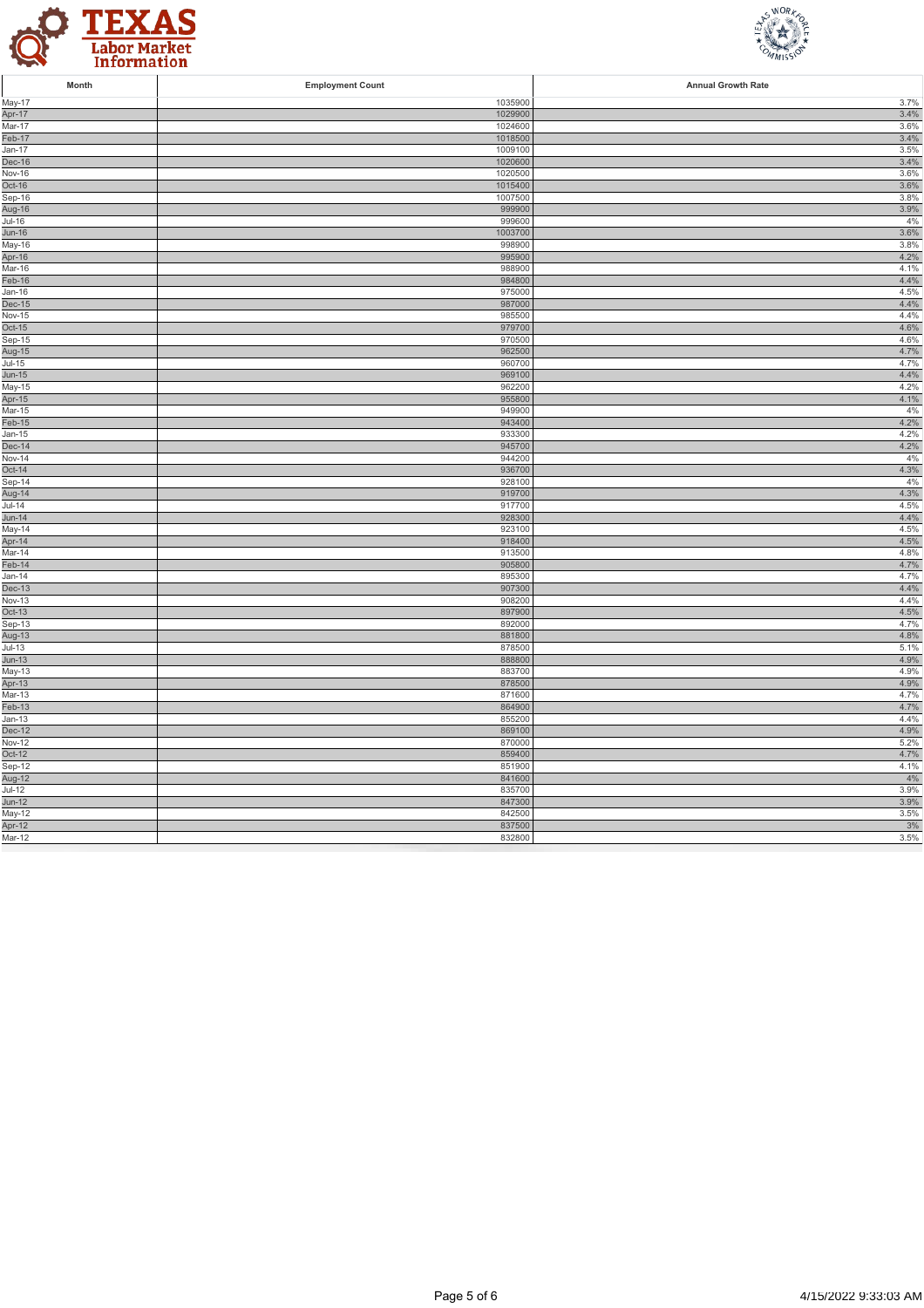



| Month                             | <b>Employment Count</b> | <b>Annual Growth Rate</b> |
|-----------------------------------|-------------------------|---------------------------|
| May-17                            | 1035900                 | 3.7%                      |
| Apr-17                            | 1029900                 | 3.4%                      |
| Mar-17                            | 1024600                 | 3.6%                      |
| Feb-17                            | 1018500                 | 3.4%                      |
| Jan-17                            | 1009100                 | 3.5%                      |
| Dec-16                            | 1020600                 | 3.4%                      |
| Nov-16<br>Oct-16                  | 1020500<br>1015400      | 3.6%<br>3.6%              |
| Sep-16                            | 1007500                 | 3.8%                      |
| Aug-16                            | 999900                  | 3.9%                      |
| $Jul-16$                          | 999600                  | 4%                        |
| $Jun-16$                          | 1003700                 | 3.6%                      |
| May-16                            | 998900                  | 3.8%                      |
| Apr-16                            | 995900                  | 4.2%                      |
| Mar-16                            | 988900                  | 4.1%                      |
| Feb-16                            | 984800                  | 4.4%                      |
| Jan-16                            | 975000                  | 4.5%                      |
| Dec-15                            | 987000                  | 4.4%                      |
| Nov-15                            | 985500                  | 4.4%                      |
| Oct-15                            | 979700                  | 4.6%                      |
| $Sep-15$                          | 970500                  | 4.6%                      |
| Aug-15                            | 962500<br>960700        | 4.7%<br>4.7%              |
| $\overline{J}$ ul-15<br>Jun-15    | 969100                  | 4.4%                      |
| May-15                            | 962200                  | 4.2%                      |
| Apr-15                            | 955800                  | 4.1%                      |
| Mar-15                            | 949900                  | 4%                        |
| $Feb-15$                          | 943400                  | 4.2%                      |
| Jan-15                            | 933300                  | 4.2%                      |
| $Dec-14$                          | 945700                  | 4.2%                      |
| <b>Nov-14</b>                     | 944200                  | 4%                        |
| $Oct-14$                          | 936700                  | 4.3%                      |
| Sep-14                            | 928100                  | 4%                        |
| Aug-14                            | 919700                  | 4.3%                      |
| $Jul-14$                          | 917700                  | 4.5%                      |
| <b>Jun-14</b><br>May-14           | 928300<br>923100        | 4.4%<br>4.5%              |
| Apr-14                            | 918400                  | 4.5%                      |
| Mar-14                            | 913500                  | 4.8%                      |
| Feb-14                            | 905800                  | 4.7%                      |
| Jan-14                            | 895300                  | 4.7%                      |
| Dec-13                            | 907300                  | 4.4%                      |
| $Nov-13$                          | 908200                  | 4.4%                      |
| $Oct-13$                          | 897900                  | 4.5%                      |
| Sep-13                            | 892000                  | 4.7%                      |
| <u>oop 18</u><br>Aug-13<br>Jul-13 | 881800                  | 4.8%                      |
|                                   | 878500                  | 5.1%                      |
| $Jun-13$                          | 888800                  | 4.9%                      |
| May-13                            | 883700                  | 4.9%                      |
| Apr-13<br>Mar-13                  | 878500<br>871600        | 4.9%<br>4.7%              |
| $Feb-13$                          | 864900                  | 4.7%                      |
| Jan-13                            | 855200                  | 4.4%                      |
| <b>Dec-12</b>                     | 869100                  | 4.9%                      |
| <b>Nov-12</b>                     | 870000                  | 5.2%                      |
| Oct-12                            | 859400                  | 4.7%                      |
| Sep-12                            | 851900                  | 4.1%                      |
| --<br>Aug-12<br>Jul-12            | 841600                  | $4\%$                     |
|                                   | 835700                  | 3.9%                      |
| Jun-12                            | 847300                  | 3.9%                      |
| May-12                            | 842500                  | 3.5%                      |
| Apr-12                            | 837500                  | $3\%$                     |
| Mar-12                            | 832800                  | 3.5%                      |